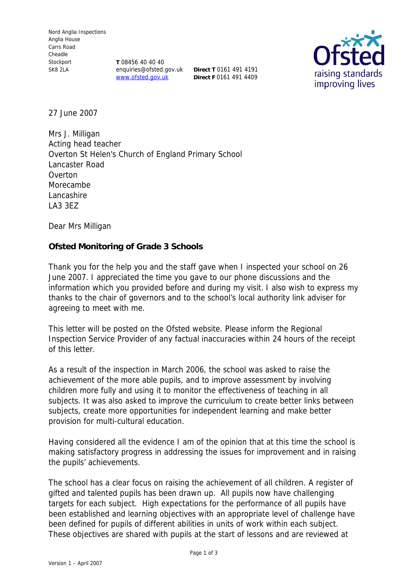**T** 08456 40 40 40 enquiries@ofsted.gov.uk **Direct T** 0161 491 4191 www.ofsted.gov.uk

**Direct F** 0161 491 4409



27 June 2007

Mrs J. Milligan Acting head teacher Overton St Helen's Church of England Primary School Lancaster Road **Overton** Morecambe Lancashire LA3 3EZ

Dear Mrs Milligan

**Ofsted Monitoring of Grade 3 Schools**

Thank you for the help you and the staff gave when I inspected your school on 26 June 2007. I appreciated the time you gave to our phone discussions and the information which you provided before and during my visit. I also wish to express my thanks to the chair of governors and to the school's local authority link adviser for agreeing to meet with me.

This letter will be posted on the Ofsted website. Please inform the Regional Inspection Service Provider of any factual inaccuracies within 24 hours of the receipt of this letter.

As a result of the inspection in March 2006, the school was asked to raise the achievement of the more able pupils, and to improve assessment by involving children more fully and using it to monitor the effectiveness of teaching in all subjects. It was also asked to improve the curriculum to create better links between subjects, create more opportunities for independent learning and make better provision for multi-cultural education.

Having considered all the evidence I am of the opinion that at this time the school is making satisfactory progress in addressing the issues for improvement and in raising the pupils' achievements.

The school has a clear focus on raising the achievement of all children. A register of gifted and talented pupils has been drawn up. All pupils now have challenging targets for each subject. High expectations for the performance of all pupils have been established and learning objectives with an appropriate level of challenge have been defined for pupils of different abilities in units of work within each subject. These objectives are shared with pupils at the start of lessons and are reviewed at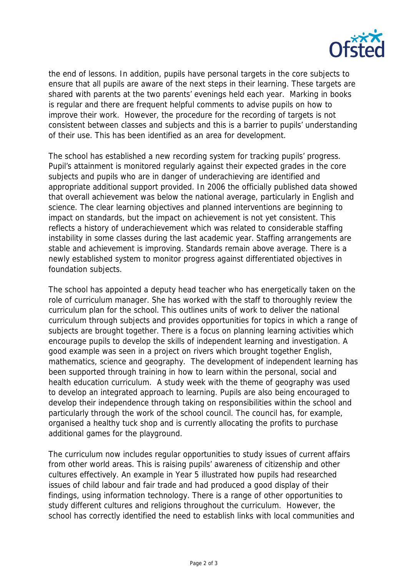

the end of lessons. In addition, pupils have personal targets in the core subjects to ensure that all pupils are aware of the next steps in their learning. These targets are shared with parents at the two parents' evenings held each year. Marking in books is regular and there are frequent helpful comments to advise pupils on how to improve their work. However, the procedure for the recording of targets is not consistent between classes and subjects and this is a barrier to pupils' understanding of their use. This has been identified as an area for development.

The school has established a new recording system for tracking pupils' progress. Pupil's attainment is monitored regularly against their expected grades in the core subjects and pupils who are in danger of underachieving are identified and appropriate additional support provided. In 2006 the officially published data showed that overall achievement was below the national average, particularly in English and science. The clear learning objectives and planned interventions are beginning to impact on standards, but the impact on achievement is not yet consistent. This reflects a history of underachievement which was related to considerable staffing instability in some classes during the last academic year. Staffing arrangements are stable and achievement is improving. Standards remain above average. There is a newly established system to monitor progress against differentiated objectives in foundation subjects.

The school has appointed a deputy head teacher who has energetically taken on the role of curriculum manager. She has worked with the staff to thoroughly review the curriculum plan for the school. This outlines units of work to deliver the national curriculum through subjects and provides opportunities for topics in which a range of subjects are brought together. There is a focus on planning learning activities which encourage pupils to develop the skills of independent learning and investigation. A good example was seen in a project on rivers which brought together English, mathematics, science and geography. The development of independent learning has been supported through training in how to learn within the personal, social and health education curriculum. A study week with the theme of geography was used to develop an integrated approach to learning. Pupils are also being encouraged to develop their independence through taking on responsibilities within the school and particularly through the work of the school council. The council has, for example, organised a healthy tuck shop and is currently allocating the profits to purchase additional games for the playground.

The curriculum now includes regular opportunities to study issues of current affairs from other world areas. This is raising pupils' awareness of citizenship and other cultures effectively. An example in Year 5 illustrated how pupils had researched issues of child labour and fair trade and had produced a good display of their findings, using information technology. There is a range of other opportunities to study different cultures and religions throughout the curriculum. However, the school has correctly identified the need to establish links with local communities and